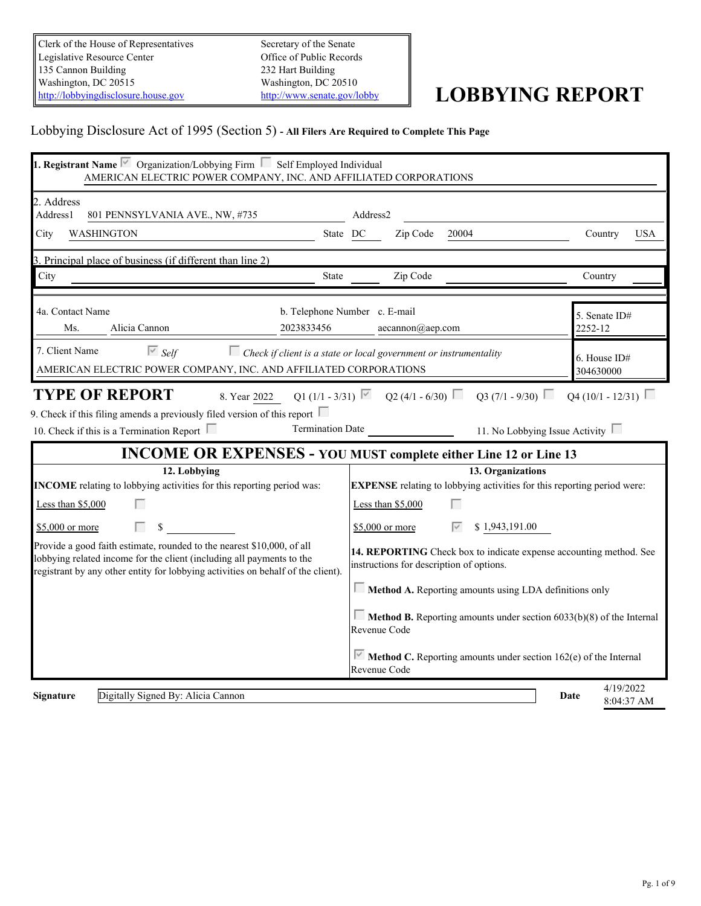Clerk of the House of Representatives Legislative Resource Center 135 Cannon Building Washington, DC 20515<br>
Mushington, DC 20510<br>
http://lobbyingdisclosure.house.gov<br>
http://www.senate.gov/lobby [http://lobbyingdisclosure.house.gov](http://lobbyingdisclosure.house.gov/)

Secretary of the Senate Office of Public Records 232 Hart Building Washington, DC 20510

# <http://www.senate.gov/lobby> **LOBBYING REPORT**

# Lobbying Disclosure Act of 1995 (Section 5) **- All Filers Are Required to Complete This Page**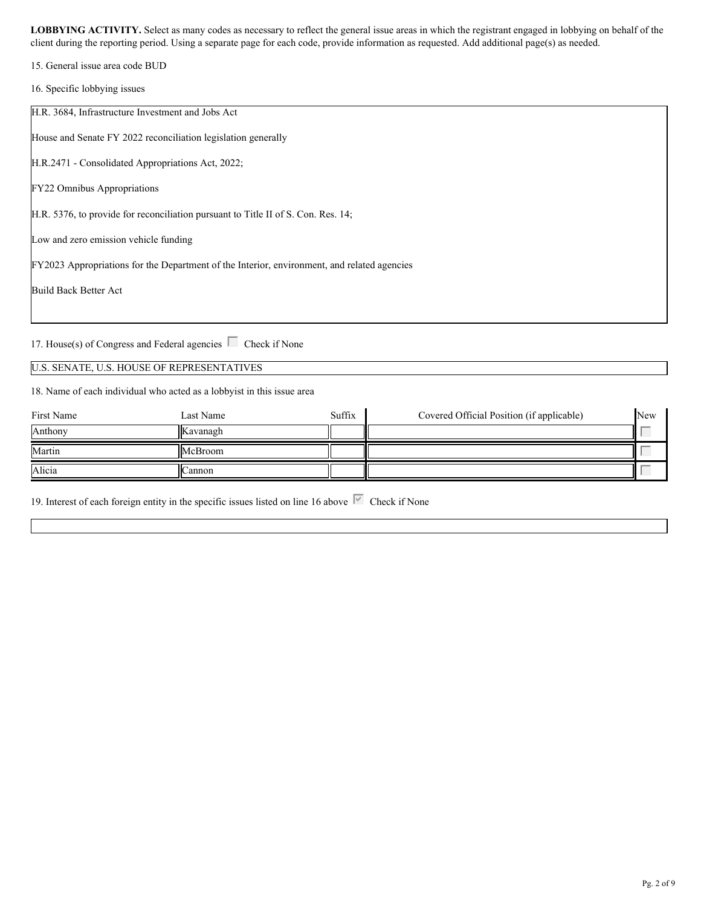15. General issue area code BUD

16. Specific lobbying issues

H.R. 3684, Infrastructure Investment and Jobs Act House and Senate FY 2022 reconciliation legislation generally H.R.2471 - Consolidated Appropriations Act, 2022; FY22 Omnibus Appropriations H.R. 5376, to provide for reconciliation pursuant to Title II of S. Con. Res. 14; Low and zero emission vehicle funding FY2023 Appropriations for the Department of the Interior, environment, and related agencies Build Back Better Act

17. House(s) of Congress and Federal agencies  $\Box$  Check if None

### U.S. SENATE, U.S. HOUSE OF REPRESENTATIVES

18. Name of each individual who acted as a lobbyist in this issue area

| First Name | Last Name       | Suffix | Covered Official Position (if applicable) | <b>New</b>               |  |
|------------|-----------------|--------|-------------------------------------------|--------------------------|--|
| Anthony    | <b>Kavanagh</b> |        |                                           | <b>Contract Contract</b> |  |
| Martin     | McBroom         |        |                                           |                          |  |
| Alicia     | Cannon          |        |                                           | <b>Service Control</b>   |  |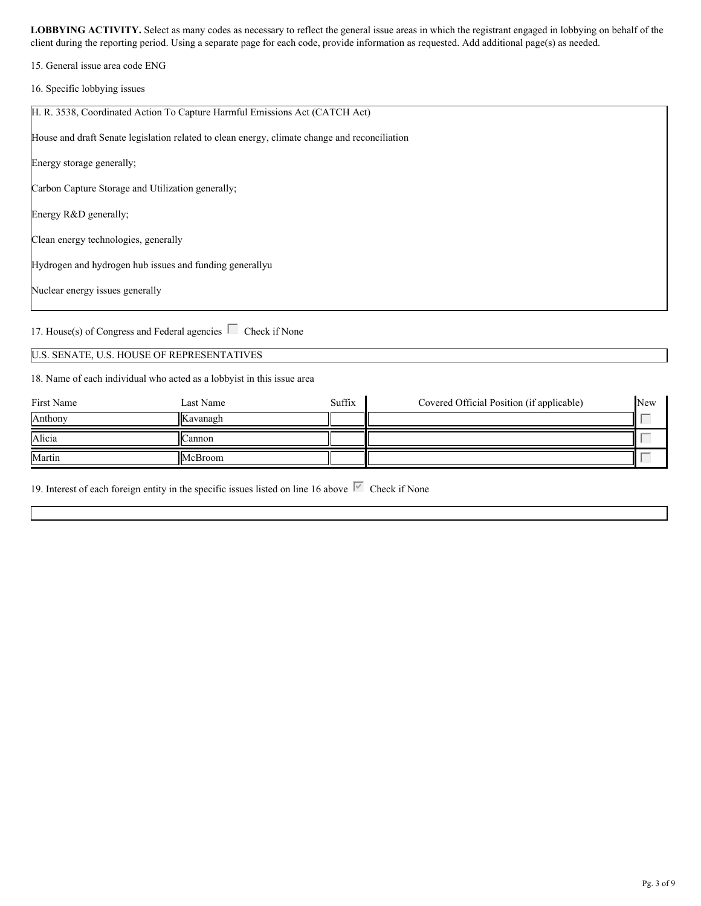15. General issue area code ENG

16. Specific lobbying issues

| H. R. 3538, Coordinated Action To Capture Harmful Emissions Act (CATCH Act)                   |
|-----------------------------------------------------------------------------------------------|
| House and draft Senate legislation related to clean energy, climate change and reconciliation |
| Energy storage generally;                                                                     |
| Carbon Capture Storage and Utilization generally;                                             |
| Energy R&D generally;                                                                         |
| Clean energy technologies, generally                                                          |
| Hydrogen and hydrogen hub issues and funding generally u                                      |
| Nuclear energy issues generally                                                               |
|                                                                                               |

17. House(s) of Congress and Federal agencies  $\Box$  Check if None

#### U.S. SENATE, U.S. HOUSE OF REPRESENTATIVES

18. Name of each individual who acted as a lobbyist in this issue area

| First Name | Last Name | Suffix | Covered Official Position (if applicable) | New                      |  |
|------------|-----------|--------|-------------------------------------------|--------------------------|--|
| Anthony    | Kavanagh  |        |                                           | $\sim$                   |  |
| Alicia     | Cannon    |        |                                           | $\overline{\phantom{a}}$ |  |
| Martin     | McBroom   |        |                                           | <b>Service Control</b>   |  |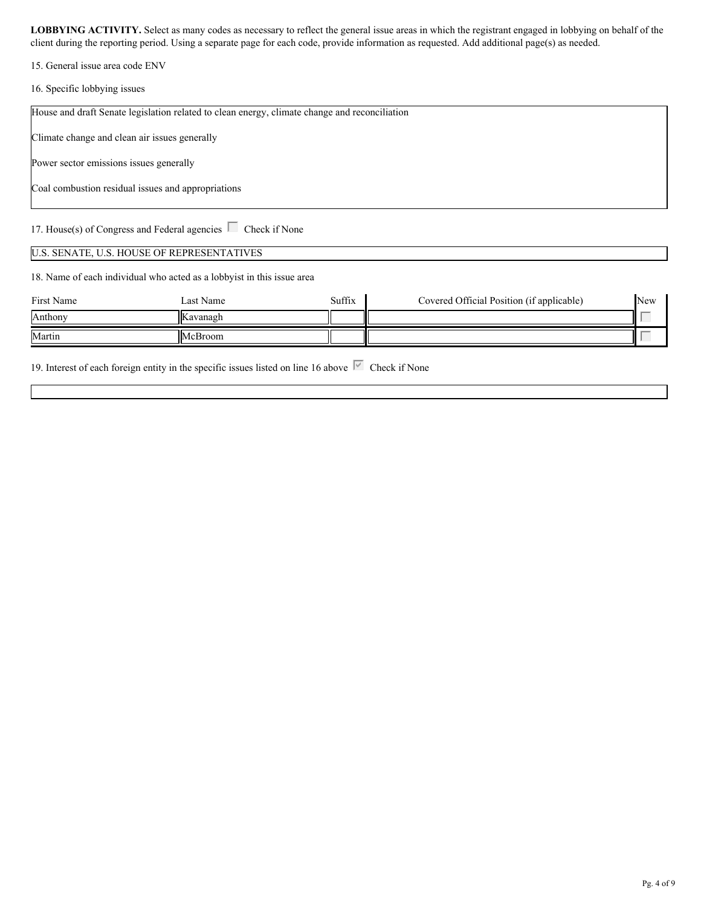15. General issue area code ENV

16. Specific lobbying issues

| House and draft Senate legislation related to clean energy, climate change and reconciliation |
|-----------------------------------------------------------------------------------------------|
|                                                                                               |
|                                                                                               |
| Climate change and clean air issues generally                                                 |
|                                                                                               |
| Power sector emissions issues generally                                                       |
|                                                                                               |
|                                                                                               |
| Coal combustion residual issues and appropriations                                            |
|                                                                                               |
|                                                                                               |
|                                                                                               |
| 17. House(s) of Congress and Federal agencies $\Box$ Check if None                            |
|                                                                                               |
|                                                                                               |

#### U.S. SENATE, U.S. HOUSE OF REPRESENTATIVES

18. Name of each individual who acted as a lobbyist in this issue area

| First Name | Last Name       | Suffix | Covered Official Position (if applicable) | New |  |
|------------|-----------------|--------|-------------------------------------------|-----|--|
| Anthony    | <b>Kavanagh</b> |        |                                           |     |  |
| Martin     | McBroom         |        |                                           |     |  |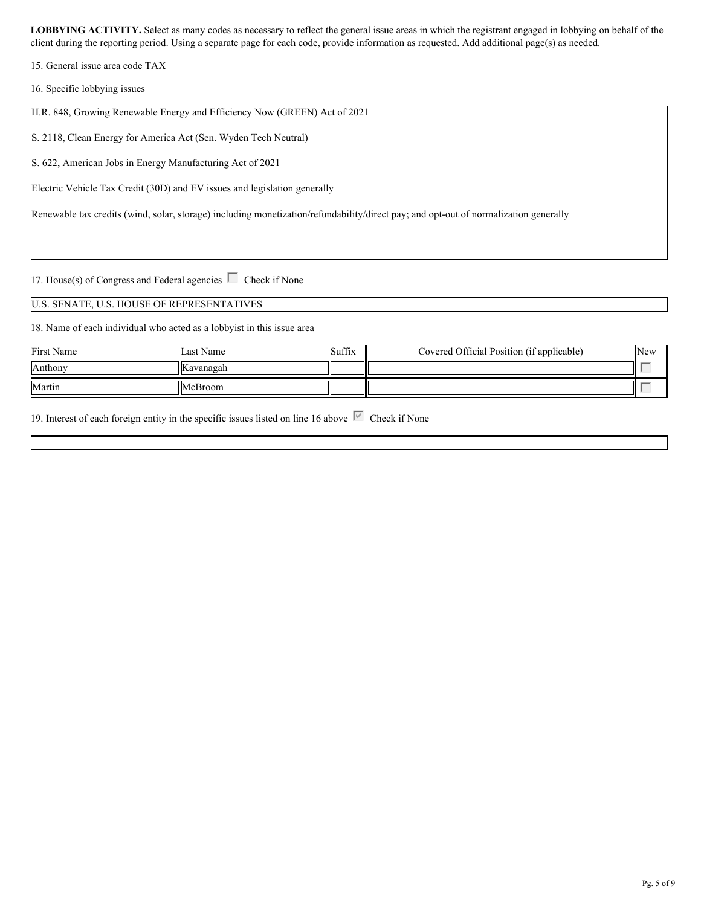15. General issue area code TAX

16. Specific lobbying issues

| H.R. 848, Growing Renewable Energy and Efficiency Now (GREEN) Act of 2021                                                            |  |
|--------------------------------------------------------------------------------------------------------------------------------------|--|
| S. 2118, Clean Energy for America Act (Sen. Wyden Tech Neutral)                                                                      |  |
| S. 622, American Jobs in Energy Manufacturing Act of 2021                                                                            |  |
| Electric Vehicle Tax Credit (30D) and EV issues and legislation generally                                                            |  |
| Renewable tax credits (wind, solar, storage) including monetization/refundability/direct pay; and opt-out of normalization generally |  |
|                                                                                                                                      |  |

17. House(s) of Congress and Federal agencies  $\Box$  Check if None

U.S. SENATE, U.S. HOUSE OF REPRESENTATIVES

18. Name of each individual who acted as a lobbyist in this issue area

| First Name | Last Name | Suffix | Covered Official Position (if applicable) | <b>New</b>                        |  |
|------------|-----------|--------|-------------------------------------------|-----------------------------------|--|
| Anthony    | Kavanagah |        |                                           | <b>Contract Contract Contract</b> |  |
| Martin     | McBroom   |        |                                           | <b>Contract Contract Contract</b> |  |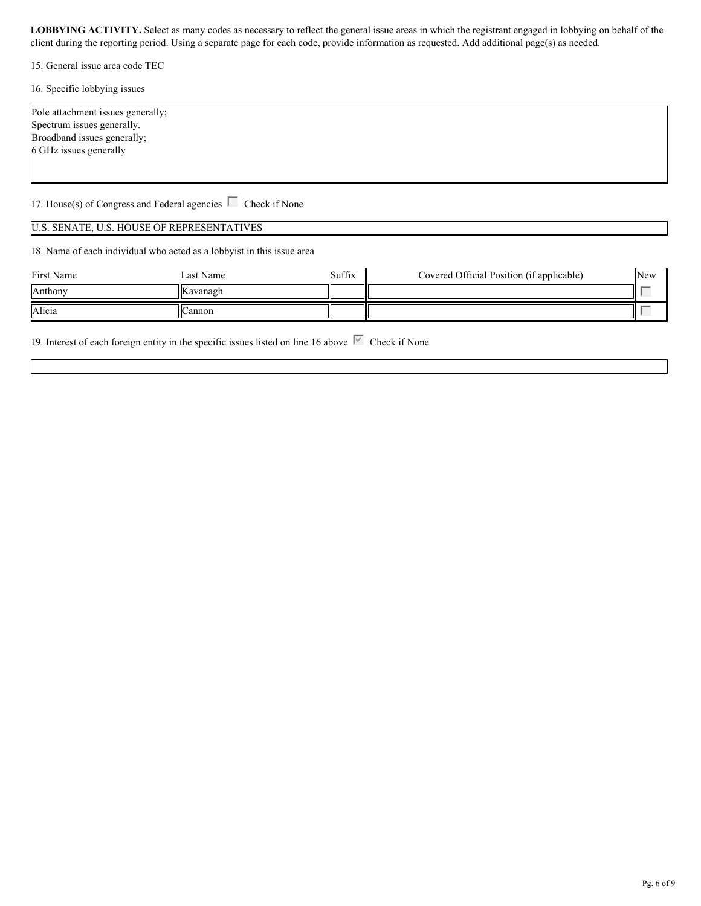15. General issue area code TEC

16. Specific lobbying issues

| Pole attachment issues generally; |  |
|-----------------------------------|--|
| Spectrum issues generally.        |  |
| Broadband issues generally;       |  |
| 6 GHz issues generally            |  |
|                                   |  |

17. House(s) of Congress and Federal agencies  $\Box$  Check if None

#### U.S. SENATE, U.S. HOUSE OF REPRESENTATIVES

18. Name of each individual who acted as a lobbyist in this issue area

| First Name | <b>Set Name</b><br>⊥ast ″ | Suffix | Covered Official Position (if applicable) | <b>New</b> |  |
|------------|---------------------------|--------|-------------------------------------------|------------|--|
| Anthony    | Kavanagh                  |        |                                           |            |  |
| Alicia     | annon                     |        |                                           |            |  |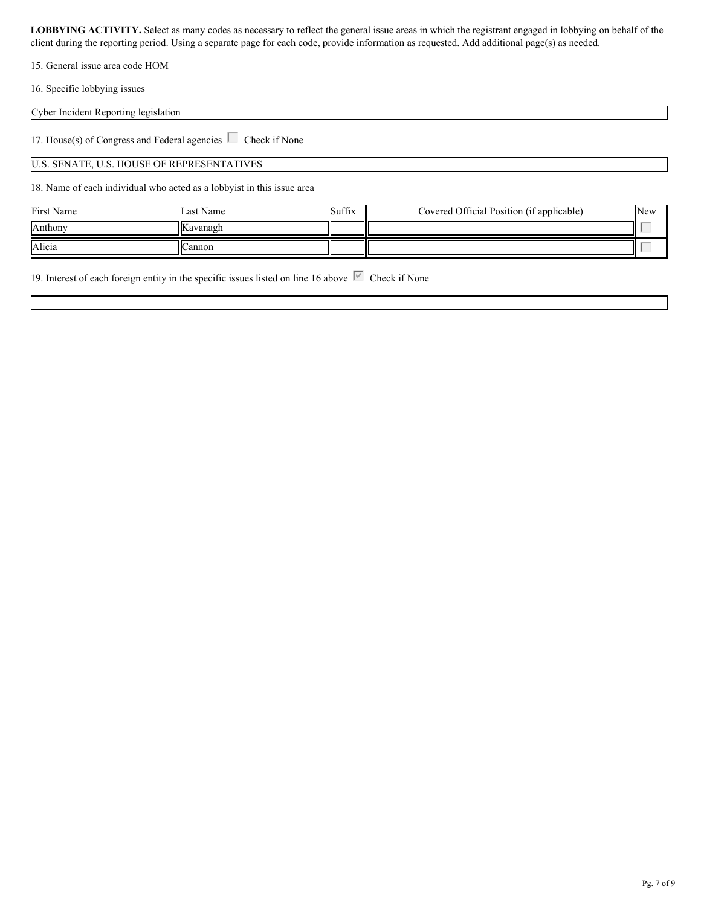15. General issue area code HOM

16. Specific lobbying issues

#### Cyber Incident Reporting legislation

17. House(s) of Congress and Federal agencies  $\Box$  Check if None

#### U.S. SENATE, U.S. HOUSE OF REPRESENTATIVES

18. Name of each individual who acted as a lobbyist in this issue area

| First Name | Last Name       | Suffix | Covered Official Position (if applicable) | New                                        |  |
|------------|-----------------|--------|-------------------------------------------|--------------------------------------------|--|
| Anthony    | <b>Kavanagh</b> |        |                                           | <b>Contract Contract Contract Contract</b> |  |
| Alicia     | Cannon          |        |                                           |                                            |  |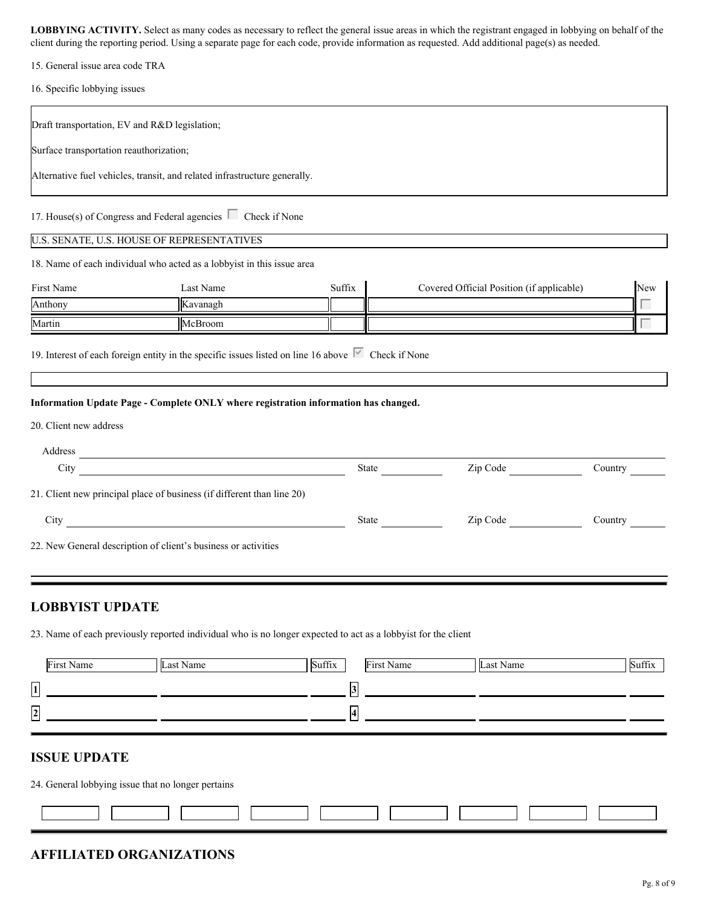15. General issue area code TRA

16. Specific lobbying issues

| Draft transportation, EV and R&D legislation; |                                                                                                               |        |                                           |         |
|-----------------------------------------------|---------------------------------------------------------------------------------------------------------------|--------|-------------------------------------------|---------|
| Surface transportation reauthorization;       |                                                                                                               |        |                                           |         |
|                                               | Alternative fuel vehicles, transit, and related infrastructure generally.                                     |        |                                           |         |
|                                               | 17. House(s) of Congress and Federal agencies $\Box$ Check if None                                            |        |                                           |         |
|                                               | U.S. SENATE, U.S. HOUSE OF REPRESENTATIVES                                                                    |        |                                           |         |
|                                               | 18. Name of each individual who acted as a lobbyist in this issue area                                        |        |                                           |         |
| First Name                                    | Last Name                                                                                                     | Suffix | Covered Official Position (if applicable) | New     |
| Anthony<br>Martin                             | Kavanagh                                                                                                      |        |                                           |         |
|                                               | McBroom                                                                                                       |        |                                           |         |
| 20. Client new address                        | Information Update Page - Complete ONLY where registration information has changed.                           |        |                                           |         |
| Address                                       | <u> 1989 - Johann Stein, mars an deus Amerikaansk kommunister (</u>                                           |        |                                           |         |
| City                                          | <u> 1990 - John Barnett, fransk politiker (d. 1980)</u>                                                       |        | Zip Code                                  | Country |
|                                               | 21. Client new principal place of business (if different than line 20)                                        |        |                                           |         |
| City                                          |                                                                                                               |        | Zip Code                                  | Country |
|                                               | 22. New General description of client's business or activities                                                |        |                                           |         |
|                                               |                                                                                                               |        |                                           |         |
| <b>LOBBYIST UPDATE</b>                        |                                                                                                               |        |                                           |         |
|                                               | 23. Name of each previously reported individual who is no longer expected to act as a lobbyist for the client |        |                                           |         |
|                                               |                                                                                                               |        |                                           |         |

|                          | First Name | Last Name | Suffix |        | First Name | Last Name | Suffix |
|--------------------------|------------|-----------|--------|--------|------------|-----------|--------|
| $\overline{1}$<br>$\sim$ |            |           |        | $\sim$ |            |           |        |
| $\overline{2}$           |            |           |        |        |            |           |        |
| المسا                    |            |           |        |        |            |           |        |

# **ISSUE UPDATE**

24. General lobbying issue that no longer pertains

# **AFFILIATED ORGANIZATIONS**